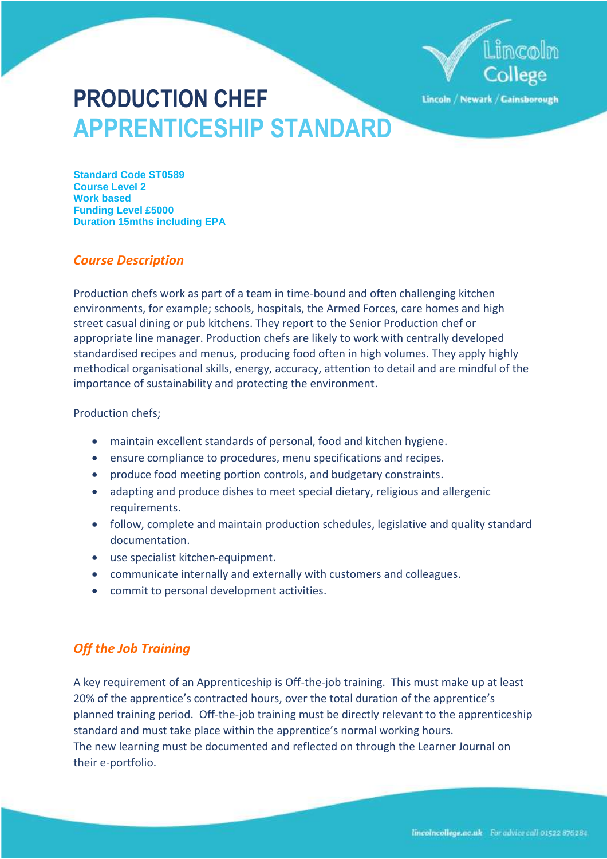

Lincoln / Newark / Gainsborough

# **PRODUCTION CHEF APPRENTICESHIP STANDARD**

**Standard Code ST0589 Course Level 2 Work based Funding Level £5000 Duration 15mths including EPA**

# *Course Description*

Production chefs work as part of a team in time-bound and often challenging kitchen environments, for example; schools, hospitals, the Armed Forces, care homes and high street casual dining or pub kitchens. They report to the Senior Production chef or appropriate line manager. Production chefs are likely to work with centrally developed standardised recipes and menus, producing food often in high volumes. They apply highly methodical organisational skills, energy, accuracy, attention to detail and are mindful of the importance of sustainability and protecting the environment.

## Production chefs;

- maintain excellent standards of personal, food and kitchen hygiene.
- ensure compliance to procedures, menu specifications and recipes.
- produce food meeting portion controls, and budgetary constraints.
- adapting and produce dishes to meet special dietary, religious and allergenic requirements.
- follow, complete and maintain production schedules, legislative and quality standard documentation.
- use specialist kitchen-equipment.
- communicate internally and externally with customers and colleagues.
- commit to personal development activities.

# *Off the Job Training*

A key requirement of an Apprenticeship is Off-the-job training. This must make up at least 20% of the apprentice's contracted hours, over the total duration of the apprentice's planned training period. Off-the-job training must be directly relevant to the apprenticeship standard and must take place within the apprentice's normal working hours. The new learning must be documented and reflected on through the Learner Journal on their e-portfolio.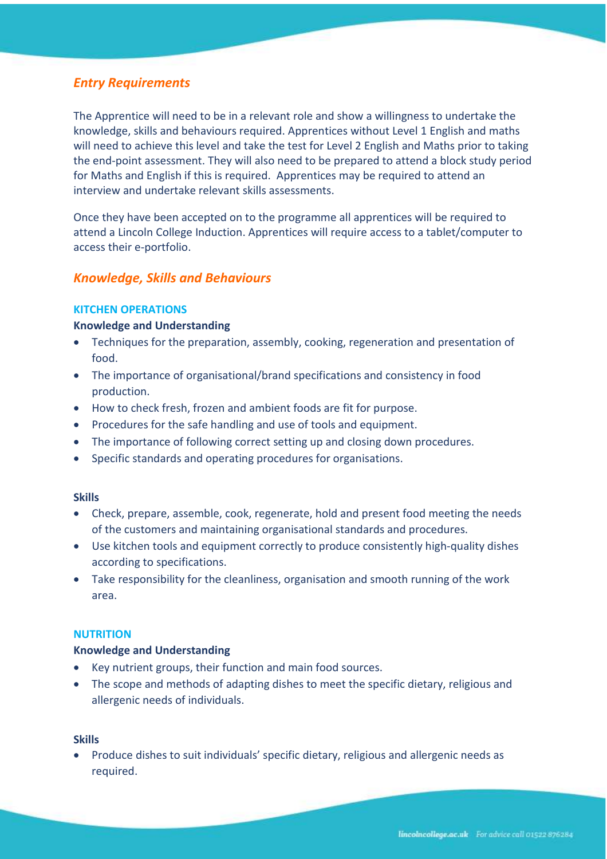# *Entry Requirements*

The Apprentice will need to be in a relevant role and show a willingness to undertake the knowledge, skills and behaviours required. Apprentices without Level 1 English and maths will need to achieve this level and take the test for Level 2 English and Maths prior to taking the end-point assessment. They will also need to be prepared to attend a block study period for Maths and English if this is required. Apprentices may be required to attend an interview and undertake relevant skills assessments.

Once they have been accepted on to the programme all apprentices will be required to attend a Lincoln College Induction. Apprentices will require access to a tablet/computer to access their e-portfolio.

## *Knowledge, Skills and Behaviours*

#### **KITCHEN OPERATIONS**

#### **Knowledge and Understanding**

- Techniques for the preparation, assembly, cooking, regeneration and presentation of food.
- The importance of organisational/brand specifications and consistency in food production.
- How to check fresh, frozen and ambient foods are fit for purpose.
- Procedures for the safe handling and use of tools and equipment.
- The importance of following correct setting up and closing down procedures.
- Specific standards and operating procedures for organisations.

#### **Skills**

- Check, prepare, assemble, cook, regenerate, hold and present food meeting the needs of the customers and maintaining organisational standards and procedures.
- Use kitchen tools and equipment correctly to produce consistently high-quality dishes according to specifications.
- Take responsibility for the cleanliness, organisation and smooth running of the work area.

#### **NUTRITION**

#### **Knowledge and Understanding**

- Key nutrient groups, their function and main food sources.
- The scope and methods of adapting dishes to meet the specific dietary, religious and allergenic needs of individuals.

#### **Skills**

• Produce dishes to suit individuals' specific dietary, religious and allergenic needs as required.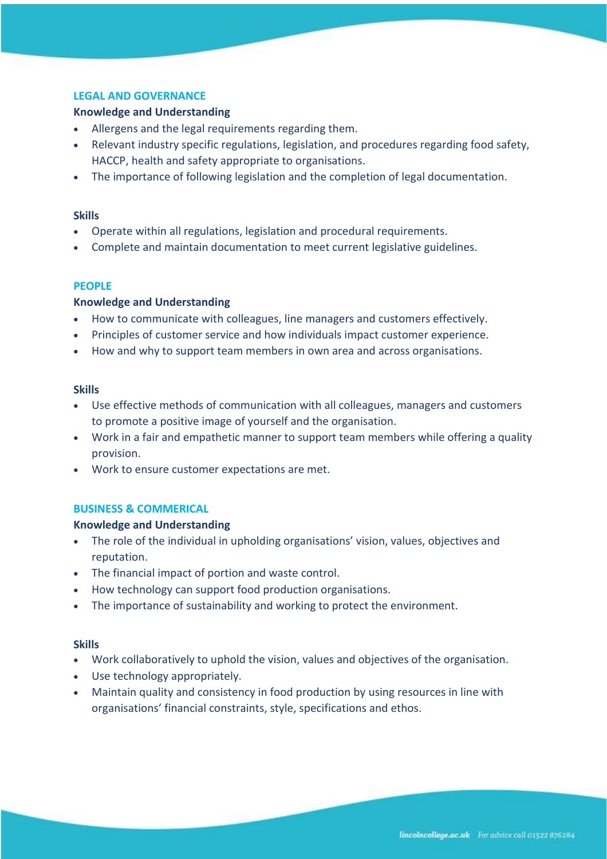#### **LEGAL AND GOVERNANCE**

#### **Knowledge and Understanding**

- Allergens and the legal requirements regarding them.
- Relevant industry specific regulations, legislation, and procedures regarding food safety, HACCP, health and safety appropriate to organisations.
- The importance of following legislation and the completion of legal documentation.

#### **Skills**

- Operate within all regulations, legislation and procedural requirements.
- Complete and maintain documentation to meet current legislative guidelines.

#### **PEOPLE**

#### **Knowledge and Understanding**

- How to communicate with colleagues, line managers and customers effectively.
- Principles of customer service and how individuals impact customer experience.
- How and why to support team members in own area and across organisations.

#### **Skills**

- Use effective methods of communication with all colleagues, managers and customers to promote a positive image of yourself and the organisation.
- Work in a fair and empathetic manner to support team members while offering a quality provision.
- Work to ensure customer expectations are met.

#### **BUSINESS & COMMERICAL**

#### **Knowledge and Understanding**

- The role of the individual in upholding organisations' vision, values, objectives and reputation.
- The financial impact of portion and waste control.
- How technology can support food production organisations.
- The importance of sustainability and working to protect the environment.

#### **Skills**

- Work collaboratively to uphold the vision, values and objectives of the organisation.
- Use technology appropriately.
- Maintain quality and consistency in food production by using resources in line with organisations' financial constraints, style, specifications and ethos.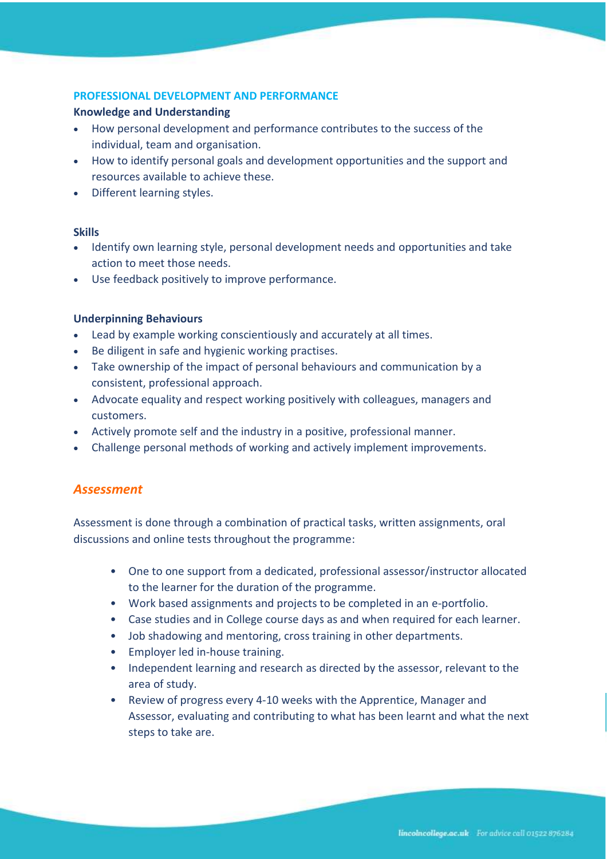## **PROFESSIONAL DEVELOPMENT AND PERFORMANCE**

#### **Knowledge and Understanding**

- How personal development and performance contributes to the success of the individual, team and organisation.
- How to identify personal goals and development opportunities and the support and resources available to achieve these.
- Different learning styles.

#### **Skills**

- Identify own learning style, personal development needs and opportunities and take action to meet those needs.
- Use feedback positively to improve performance.

#### **Underpinning Behaviours**

- Lead by example working conscientiously and accurately at all times.
- Be diligent in safe and hygienic working practises.
- Take ownership of the impact of personal behaviours and communication by a consistent, professional approach.
- Advocate equality and respect working positively with colleagues, managers and customers.
- Actively promote self and the industry in a positive, professional manner.
- Challenge personal methods of working and actively implement improvements.

## *Assessment*

Assessment is done through a combination of practical tasks, written assignments, oral discussions and online tests throughout the programme:

- One to one support from a dedicated, professional assessor/instructor allocated to the learner for the duration of the programme.
- Work based assignments and projects to be completed in an e-portfolio.
- Case studies and in College course days as and when required for each learner.
- Job shadowing and mentoring, cross training in other departments.
- Employer led in-house training.
- Independent learning and research as directed by the assessor, relevant to the area of study.
- Review of progress every 4-10 weeks with the Apprentice, Manager and Assessor, evaluating and contributing to what has been learnt and what the next steps to take are.